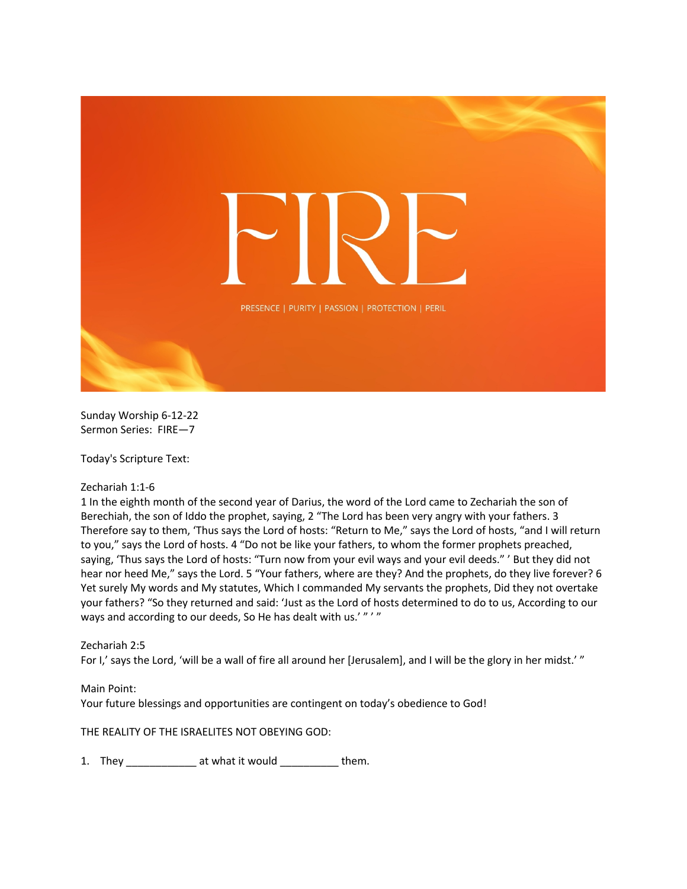

Sunday Worship 6-12-22 Sermon Series: FIRE—7

Today's Scripture Text:

Zechariah 1:1-6

1 In the eighth month of the second year of Darius, the word of the Lord came to Zechariah the son of Berechiah, the son of Iddo the prophet, saying, 2 "The Lord has been very angry with your fathers. 3 Therefore say to them, 'Thus says the Lord of hosts: "Return to Me," says the Lord of hosts, "and I will return to you," says the Lord of hosts. 4 "Do not be like your fathers, to whom the former prophets preached, saying, 'Thus says the Lord of hosts: "Turn now from your evil ways and your evil deeds." ' But they did not hear nor heed Me," says the Lord. 5 "Your fathers, where are they? And the prophets, do they live forever? 6 Yet surely My words and My statutes, Which I commanded My servants the prophets, Did they not overtake your fathers? "So they returned and said: 'Just as the Lord of hosts determined to do to us, According to our ways and according to our deeds, So He has dealt with us.'"'"

## Zechariah 2:5

For I,' says the Lord, 'will be a wall of fire all around her [Jerusalem], and I will be the glory in her midst.'"

## Main Point:

Your future blessings and opportunities are contingent on today's obedience to God!

THE REALITY OF THE ISRAELITES NOT OBEYING GOD:

1. They \_\_\_\_\_\_\_\_\_\_\_\_\_\_ at what it would \_\_\_\_\_\_\_\_\_\_\_ them.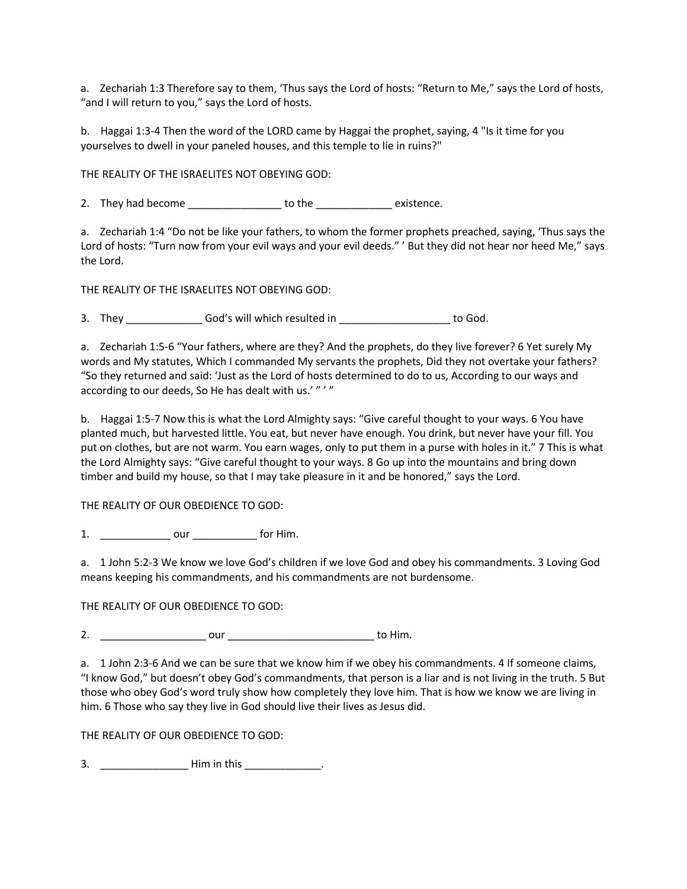a. Zechariah 1:3 Therefore say to them, 'Thus says the Lord of hosts: "Return to Me," says the Lord of hosts, "and I will return to you," says the Lord of hosts.

b. Haggai 1:3-4 Then the word of the LORD came by Haggai the prophet, saying, 4 "Is it time for you yourselves to dwell in your paneled houses, and this temple to lie in ruins?"

THE REALITY OF THE ISRAELITES NOT OBEYING GOD:

2. They had become \_\_\_\_\_\_\_\_\_\_\_\_\_\_\_\_\_\_\_ to the \_\_\_\_\_\_\_\_\_\_\_\_\_\_\_ existence.

a. Zechariah 1:4 "Do not be like your fathers, to whom the former prophets preached, saying, 'Thus says the Lord of hosts: "Turn now from your evil ways and your evil deeds." ' But they did not hear nor heed Me," says the Lord.

THE REALITY OF THE ISRAELITES NOT OBEYING GOD:

3. They God's will which resulted in to God.

a. Zechariah 1:5-6 "Your fathers, where are they? And the prophets, do they live forever? 6 Yet surely My words and My statutes, Which I commanded My servants the prophets, Did they not overtake your fathers? "So they returned and said: 'Just as the Lord of hosts determined to do to us, According to our ways and according to our deeds, So He has dealt with us.'"'"

b. Haggai 1:5-7 Now this is what the Lord Almighty says: "Give careful thought to your ways. 6 You have planted much, but harvested little. You eat, but never have enough. You drink, but never have your fill. You put on clothes, but are not warm. You earn wages, only to put them in a purse with holes in it." 7 This is what the Lord Almighty says: "Give careful thought to your ways. 8 Go up into the mountains and bring down timber and build my house, so that I may take pleasure in it and be honored," says the Lord.

THE REALITY OF OUR OBEDIENCE TO GOD:

1. \_\_\_\_\_\_\_\_\_\_\_\_ our \_\_\_\_\_\_\_\_\_\_\_ for Him.

a. 1 John 5:2-3 We know we love God's children if we love God and obey his commandments. 3 Loving God means keeping his commandments, and his commandments are not burdensome.

THE REALITY OF OUR OBEDIENCE TO GOD:

2. \_\_\_\_\_\_\_\_\_\_\_\_\_\_\_\_\_\_ our \_\_\_\_\_\_\_\_\_\_\_\_\_\_\_\_\_\_\_\_\_\_\_\_\_ to Him.

a. 1 John 2:3-6 And we can be sure that we know him if we obey his commandments. 4 If someone claims, "I know God," but doesn't obey God's commandments, that person is a liar and is not living in the truth. 5 But those who obey God's word truly show how completely they love him. That is how we know we are living in him. 6 Those who say they live in God should live their lives as Jesus did.

THE REALITY OF OUR OBEDIENCE TO GOD:

3. \_\_\_\_\_\_\_\_\_\_\_\_\_\_\_ Him in this \_\_\_\_\_\_\_\_\_\_\_\_\_.